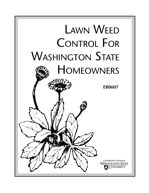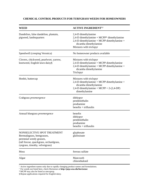# **CHEMICAL CONTROL PRODUCTS FOR TURFGRASS WEEDS FOR HOMEOWNERS**

| WEED                                                                                                                                                                | <b>ACTIVE INGREDIENT<sup>1,2</sup></b>                                                                                                                             |
|---------------------------------------------------------------------------------------------------------------------------------------------------------------------|--------------------------------------------------------------------------------------------------------------------------------------------------------------------|
| Dandelion, false dandelion, plantain,<br>pigweed, lambsquarters                                                                                                     | 2,4-D dimethylamine<br>2,4-D dimethylamine + MCPP* dimethylamine<br>2,4-D dimethylamine + MCPP dimethylamine +<br>dicamba dimethylamine<br>Mixtures with triclopyr |
| Speedwell (creeping Veronica)                                                                                                                                       | No homeowner products available                                                                                                                                    |
| Clovers, chickweed, pearlwort, yarrow,<br>knotweed, English lawn daisy§                                                                                             | Mixtures with triclopyr<br>2,4-D dimethylamine + MCPP dimethylamine<br>2,4-D dimethylamine + MCPP dimethylamine +<br>dicamba dimethylamine<br>Triclopyr            |
| Henbit, buttercup                                                                                                                                                   | Mixtures with triclopyr<br>2,4-D dimethylamine + MCPP dimethylamine +<br>dicamba dimethylamine<br>2,4-D dimethylamine + MCPP + 2-(2,4-DP)<br>dimethylamine         |
| Crabgrass preemergence                                                                                                                                              | dithiopyr<br>pendimethalin<br>prodiamine<br>$benefin + trifluralin$                                                                                                |
| Annual bluegrass preemergence                                                                                                                                       | benefin<br>dithiopyr<br>pendimethalin<br>prodiamine<br>$benefin + trifluralin$                                                                                     |
| NONSELECTIVE SPOT TREATMENT<br>Bermudagrass, bentgrasses,<br>perennial weedy grasses,<br>(tall fescue, quackgrass, orchardgrass,<br>ryegrass, timothy, velvetgrass) | glyphosate<br>glufosinate                                                                                                                                          |
| Moss                                                                                                                                                                | ferrous sulfate                                                                                                                                                    |
| Algae                                                                                                                                                               | Mancozeb<br>chlorothalonil                                                                                                                                         |

<sup>1</sup> Active ingredient names only due to rapidly changing product names and formulations.

<sup>2</sup> For weeds not listed here, check Hortsense at **http://pep.wsu.edu/hortsense**

\* MCPP may also be listed as mecoprop.

§ Repeat applications required for English daisy.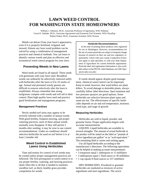# **LAWN WEED CONTROL FOR WASHINGTON STATE HOMEOWNERS**

William J. Johnston, Ph.D., Associate Professor of Agronomy, WSU Pullman Gwen K. Stahnke, Ph.D., Associate Agronomist and Extension Turf Scientist, WSU Puyallup Robert Parker, Ph.D., Extension Scientist, WSU Prosser

Weeds can detract from your lawn's appearance, even if it is properly fertilized, irrigated, and mowed. Almost any lawn weed problem can be solved by using a combination of management practices and chemical methods. You can learn to identify various weeds and plan an effective and economical weed control program for your lawn.

## **Preventing Weeds in New Lawns**

Weed seeds are found in all topsoil. These seeds will germinate with your lawn seed. Broadleaf weeds can ordinarily be selectively removed safely with herbicides after the lawn is 8 to 10 weeks of age. Annual and perennial weedy grasses are difficult to remove selectively after the lawn is established. Always remember that strong turfgrasses compete with weeds and will aid in their control. Plant high quality lawn seed and practice good fertilization and management programs.

## **Management Practices**

Newly seeded turf areas may appear to be severely infested with a number of annual weeds. With good fertility, frequent mowing, and proper watering practices, most of these annual weeds normally soon disappear. If they still persist 2 months after seeding, it may be wise to use control recommendations. Under no conditions should selective herbicides be used on turf before it is at least 2 months old.

# **Weed Control in Established Lawns Using Herbicides**

Time and money for control of turf weeds may be wasted unless proper management practices are followed. The first prerequisite to weed control is to use proper fertility, watering, and mowing practices. Quite often this is all that is needed to maintain weedfree turf, as thick, healthy grass provides competition for weeds.

#### **Herbicide Recommendations**

At the time of printing these products were registered for use in Washington. However, recommendations for the use of certain pesticides are subject to frequent change because of research on their use and new regulatory requirements. Check with your county Cooperative Extension agent or state specialist, or with your State Department of Agriculture for current herbicide registrations. Pesticide label and registration information is also available online via the PICOL Label Database; see URL http:/ /picol.cahe.wsu.edu/.

If weeds should appear despite good management, chemical weed control can be important. Keep in mind, however, that weed killers are plant killers. To avoid damage to desirable plants, always carefully follow label directions. Spot treatment and low pressure sprayers are good options. Some herbicides are selective between plant types and some are not. The effectiveness of specific herbicides depends on air and soil temperature, moisture, weed type, and stage of growth.

## **Measuring Herbicides**

Herbicides are sold in liquid, powder, and granular forms. Proper application begins with accurate measurements.

LIQUIDS. Liquid herbicides are available in several strengths. The amount of actual herbicide in the product will be stated on the label as "pounds of active ingredient per gallon" or as "acid equivalent." The remaining fluid is carrier and wetting agent.

Use all liquid herbicides according to the manufacturer's directions. The following equivalents can be helpful in making accurate measurements:

- 3 teaspoons equal 1 tablespoon or 15 milliliters
- 2 tablespoons equal 1 fluid ounce or 30 milliliters
- 1 cup equals 8 fluid ounces or 237 milliliters

DRY HERBICIDES. Powdered or granular herbicides are marketed as mixtures of active ingredients and inert ingredients. The active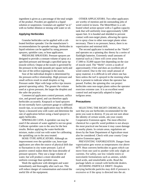ingredient is given as a percentage of the total weight of the product. Powders are applied in a liquid solution or suspension. Granulars are applied "as is" with no further dilution or mixing with water or oil.

### **Applying Herbicides**

Granular herbicides can be applied with a calibrated fertilizer spreader. Use the manufacturer's recommendations for spreader settings. Herbicides in liquid solutions can be applied by using pressure sprayers, sprinkler cans, or hose applicators.

PRESSURE SPRAYERS. Pressure sprayers are designed to provide a constant volume of spray at a specified pressure and through a specified spray tip (nozzle orifice). Output at the nozzle is governed by the pressure in the tank (pounds per square inch) and the size of the orifice (opening) in the nozzle.

Size of the individual droplet is determined by the pressure-orifice relationship. High pressure and small orifices result in small droplets or fog. Pressure under 30psi with large orifice tips insures general operating safety. The greater the volume used at a given pressure, the larger the droplets and the safer the practice.

Commercial applicators control pressure, orifice size, and ground speed, and can therefore apply herbicides accurately. Knapsack or hand sprayers do not normally have a pressure gauge or calibrated nozzle tips, so accurate application may be difficult. Spray a measured area with water and determine the rate of application before using a hand sprayer to apply herbicides.

SPRINKLER CANS. A sprinkler can may be used if the amount of water applied is not too great. Calibrate sprinkler cans to the area for the best results. Before applying the water-herbicide mixture, make a trial run with water for calibrating the sprinkling can to the area treated.

HOSE-TYPE APPLICATORS. Although an improvement over the sprinkler can, hose-type applicators are often the source of physical drift due to fluctuation in city water pressure. Lack of positive control makes them the least desirable of pressure sprayers. They use a large volume of water, but will produce a more desirable and uniform coverage than sprinkler cans.

Wash the applicator with detergent and water immediately and thoroughly after each use. This will reduce danger of contamination and extend the useful life of the equipment.

OTHER APPLICATORS. Two other applicators are worthy of mention and do outstanding jobs of weed control in lawns. The MeterMiser is a calibrated wheel action sprayer with a 5-gallon capacity tank that will uniformly treat approximately 5,000 square feet. It is hooded and shielded to prevent contact with non-target plants, allowing the operator to spray close to other non-target plants when necessary. There is no pressure; hence, there is no vaporization and minimal drift.

The second applicator is marketed as the "Herbi" and operates on a spinning disc theory by a series of flashlight batteries. Extremely small amounts of material such as 2 liters will cover areas from 17,000 to 35,000 square feet depending on the size of nozzle used. The "Herbi" covers a swath of approximately 4 feet and does an excellent job of weed control. Due to the very small amount of spray material, it is difficult to tell where one has been unless the turf is sprayed in the morning when dew is present to indicate where the operator has passed. Further, the spinning disc can project herbicides onto non-target plants unless the operator exercises extreme care. It is an excellent weed control tool and especially adapted to larger turfgrass areas.

## **Precautions**

SELECTING THE RIGHT CHEMICAL. Be sure that you use herbicides recommended for the pests you want to destroy. If you are not sure about the identity of certain weeds, ask your county Cooperative Extension agent. The most effective chemical for a specific weed problem is not always the most practical one because it may cause damage to nearby plants. In certain areas, regulations set down by the State Department of Agriculture must also be considered. Check with your county Cooperative Extension agent.

PREVENTING VAPORIZATION. Danger from vaporization gets worse as temperatures rise above 60°F. Heat converts herbicides to gases which can move from one yard to another with only slight air currents. For safety, use low volatile esters or nonvolatile formulations such as amines, solubilized acids, and emulsifiable acids. Read the package labels or consult with herbicide dealers.

AVOIDING PARTICLE DRIFT. Droplets carrying herbicide particles may drift if pressure is excessive or if the spray is directed into the air.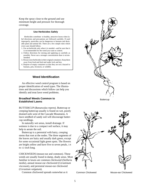Keep the spray close to the ground and use minimum height and pressure for thorough coverage.

#### **Use Herbicides Safely**

Herbicides contribute to healthy, attractive lawns when label directions and precautions are followed carefully. If used improperly, pesticides can be dangerous to humans and desirable plant and animal life. There are a few simple rules which every user should follow.

- 1. Use an herbicide only when it is needed—and be sure that it is recommended for the weed you want to control.
- 2. Follow directions for mixing and applying as carefully as possible. Never use a stronger concentration than is recommended.
- 3. Always store herbicides in their original containers. Keep them away from food and feed and under lock and key.
- 4. Dispose of empty containers so that they are not a hazard to humans, pets, livestock, or wildlife.

# **Weed Identification**

An effective weed control program is based on proper identification of weed types. The illustrations and discussions which follow can help you identify and treat lawn weed problems.

## **Broadleaf Weeds Common to Established Lawns**

BUTTERCUP (*Ranunculus repens*). Buttercup or creeping buttercup usually is found on wet, poorly drained soils west of the Cascade Mountains. A lawn seedbed of sandy soil will discourage buttercup seedlings.

In naturally wet areas, install drainage. If wetness is due to a compact soil surface, it may help to aerate the soil.

Buttercup is a perennial with hairy, creeping stems that root at the nodes. The three segments of the leaves are hairy and usually dark green, except for some occasional light green spots. The flowers are bright yellow and have five to seven petals, 1/4 to 1/2 inch long.

CHICKWEEDS (mouse-ear and common). These weeds are usually found in damp, shady areas. Most familiar in lawns are common chickweed (*Stellaria media*), annual mouse-ear chickweed (*Cerastinum viscosum*), and perennial mouse-ear chickweed (*Cerastium vulgatum*).

Common chickweed spreads somewhat as it



**Buttercup** 



Common Chickweed Mouse-ear Chickweed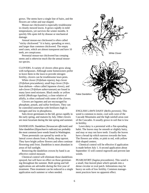grows. The stems have a single line of hairs, and the flowers are white and star-shaped.

Mouse-ear chickweed is especially troublesome in closely mowed lawns. It grows rapidly in mild temperatures, yet survives the winter months. It quickly fills spots left by disease or mechanical damage.

Annual mouse-ear chickweed is often called "sticky chickweed." It is hairy, spreading or erect, and larger than common chickweed. The empty seed cases, which are almost transparent and have 10 teeth, are conspicuous.

Perennial mouse-ear chickweed has creeping stems and is otherwise much like the annual mouseear species.

CLOVERS. A variety of clovers often grow along with turfgrasses. Although some homeowners prefer to leave them in the lawn to provide nitrogen fertility, clovers can be troublesome lawn pests.

White clover (*Trifolium repens*), hop clover (*Trifolium procumbens*), small hop clover (*Trifolium dubium*—often called Japanese clover), and sub-clover (*Trifolium subterraneum*) are found in many lawn seed mixtures. Black medic or yellow trefoil (*Medicago lupulina*), a close relative of alfalfa, is often confused with some of the clovers.

Clovers are legumes and are encouraged by phosphate, potash, and sulfur fertilizers. They can be controlled somewhat with fertilizers high in nitrogen and low in phosphorus.

Sub-clover germinates in the fall, grows rapidly in the early spring, and matures by July. Other clovers are most luxuriant during the late spring and summer.

DANDELION. Dandelion (*Taraxacum officinale*) and false dandelion (*Hypochaeris radicata*) are probably the most common lawn weeds found in Washington.

These perennials can spread by seeds or by lateral crown shoots from a fleshy, deep taproot. They have bright yellow flowers and often continue flowering until frost. Dandelion is most abundant in areas of full sunlight.

Removing the dandelion crowns by hand is an effective control measure.

Chemical control will eliminate those dandelions sprayed, but will have no effect on those germinating throughout the summer. Both spring and fall applications are advisable during the first year of treatment. Then treatment can be reduced to a single application each summer or when needed.



ENGLISH LAWN DAISY (*Bellis perennis*). This weed is common to moist, cool soils west of the Cascade Mountains and the high rainfall areas east of the Cascades. It usually grows in soil that is low in fertility.

Lawn daisy is a perennial with a flat-spreading habit. The leaves may be smooth or slightly hairy, and may or may not have teeth. Usually the leaves have a broad tip which narrows towards the base. The flowers are white, or pink to red, with yellow disk-shaped centers.

Chemical control will be effective if application is made before July 1. A second application about September 15 will control regrowth and prevent late weeds.

PEARLWORT (*Sagina procumbens*). This weed is a small, fine-leaved plant which spreads into a dense circular or oval patch. Infestations may be heavy on soils of low fertility. Common management practices have no apparent effect.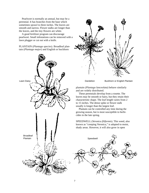Pearlwort is normally an annual, but may be a perennial. It has branches from the base which sometimes sprawl to three inches. The leaves are smooth and narrow. Flower stalks are longer than the leaves, and the tiny flowers are white.

A good fertilizer program can discourage pearlwort. Small infestations can be removed with a lawn plugger or cut out with a knife.

PLANTAIN (*Plantago species*). Broadleaf plantain (*Plantago major*) and English or buckhorn





plantain (*Plantago lanceolata*) behave similarly and are widely distributed.

These perennials develop from a rosette. The leaves may be smooth or hairy, but they retain their characteristic shape. The leaf length varies from 2 to 15 inches. The dense spike or flower stalk usually is longer than the largest leaf.

Plantain can be controlled any time during the growing season, but is most susceptible to herbicides in the late spring.

SPEEDWELL (*Veronica filiformis*). This weed, also known as "creeping Veronica," is adapted to moist, shady areas. However, it will also grow in open

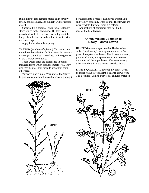sunlight if the area remains moist. High fertility levels, good drainage, and sunlight will restrict its growth.

Speedwell is a perennial and produces slender stems which root at each node. The leaves are paired and stalked. The flowers develop on stalks longer than the leaves, and are blue to white with dark markings.

Apply herbicides in late spring.

YARROW (*Achilea millefolium*). Yarrow is common throughout the Pacific Northwest, but western yarrow (var. *lanulosa*) is confined to the region east of the Cascade Mountains.

These weeds often are established in poorly managed lawns which cannot compete well. They also may be present in topsoils brought in from other areas.

Yarrow is a perennial. When mowed regularly, it begins to creep outward instead of growing upright, developing into a rosette. The leaves are fern-like and woolly, especially when young. The flowers are usually white, but sometimes are colored.

Applications of herbicides may need to be repeated to be effective.

# **Annual Weeds Common to Newly Planted Lawns**

HENBIT (*Lamium amplexicaule*). Henbit, often called "dead nettle," has a square stem and a few pairs of longstemmed leaves. The flowers are small, purple and white, and appear as clusters between the stems and the upper leaves. This weed usually takes over the thin areas in newly seeded lawns.

LAMB'S-QUARTER (*Chenopodium alba*). Often confused with pigweed, lamb's-quarter grows from 1 to 3 feet tall. Lamb's-quarter has angular or ridged



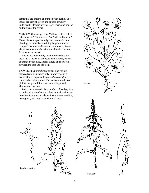stems that are smooth and tinged with purple. The leaves are grayish-green and appear powdery underneath. Flowers are small, greenish, and appear on the tips of the stems.

MALLOW (*Malva species*). Mallow is often called "cheeseweed," "buttonweed," or "wild hollyhock." These plants are particularly troublesome in new plantings or on soils containing large amounts of barnyard manure. Mallows can be annuals, biennials, or even perennials, with branches that develop from a central crown.

The leaves are slightly lobed on the edges and are 1/4 to 2 inches in diameter. The flowers, whitish and tinged with blue, appear singly or as clusters between the leaf and the stem.

PIGWEED (*Amaranthus species*). The various pigweeds are a nuisance only in newly planted lawns. Rough pigweed (*Amaranthus retroflexus*) is a somewhat hairy annual. The roots are reddish or pink at the ground line. Leaves are single and alternate on the stem.

Prostrate pigweed (*Amaranthus blitoides*) is a smooth and somewhat succulent annual with many branches. Its stems are pale, while the leaves are shiny, deep green, and may have pale markings.





Pigweed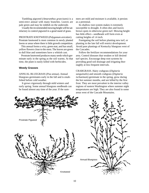Tumbling pigweed (*Amaranthus graecizans*) is a semi-erect annual with many branches. Leaves are pale green and may be reddish on the underside.

Usually the recommended mowing height will be satisfactory to control pigweed in a good stand of grass.

PROSTRATE KNOTWEED (*Polygonum aviculare*). Prostrate knotweed is most common in newly planted lawns or areas where there is little growth competition.

This annual forms a wiry, green mat, and has small, yellow flowers close to the stem. The leaves are green to dull blue and sometimes have a whitish cast.

Prostrate knotweed produces many seeds which germinate early in the spring as the soil warms. At that time, the plant is easily killed with herbicides.

## **Weedy Grasses**

ANNUAL BLUEGRASS (*Poa annua*). Annual bluegrass germinates early in the fall and is established before cold weather.

It grows vigorously through mild winters and early spring. Some annual bluegrass seedheads can be found almost any time of the year. If the summers are mild and moisture is available, it persists as a perennial.

Its shallow root system makes it extremely susceptible to drought. It often dies and leaves brown spots in otherwise green turf. Mowing height has little effect—seedheads will form even at cutting heights of 1/8 inch.

Fumigating the soil before planting new turf, or planting in the late fall will restrict development. Avoid pure plantings of Kentucky bluegrass west of the Cascades.

Follow the fertilizer recommendations for your area. Control diseases that weaken or kill desired turf species. Encourage deep root systems by providing good soil drainage and irrigating thoroughly at less frequent intervals.

CRABGRASS. Hairy crabgrass (*Digitaria*

*sanguinalis*) and smooth crabgrass (*Digitaria ischaemum*) germinate in the spring, grow during the hot summer months, and are killed by the first frost. They are most prevalent in the interior valley regions of eastern Washington where summer night temperatures are high. They are also found in some areas west of the Cascade Mountains.

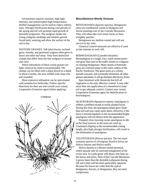Germination requires moisture, high light intensity, and uninterrupted high temperatures. Skillful management can be used to reduce infestations. Nitrogen fertilization during cool periods of the spring and fall will promote rapid growth of desirable turfgrasses. The turfgrass shades the young crabgrass seedlings and inhabits growth. Avoid daily watering and allow the surface of the soil to dry.

PASTURE GRASSES. Tall (alta) fescue, orchardgrass, timothy, and perennial ryegrass often grow in lawns and other turf areas. They form distinctive clumps that differ from the fine turfgrass in texture and color.

When infestations of these coarse grasses are light, removal by hand is recommended. The clumps can be lifted with a sharp shovel to a depth of about 4 inches, the area refilled with clean soil, and reseeded.

More extensive infestation can be spot-treated with nonselective herbicides. Follow specific directions for their use and consult your county Cooperative Extension agent before applying.



## **Miscellaneous Weedy Grasses**

BENTGRASSES (*Agrostis* species). Bentgrasses often are troublesome weeds in bluegrass and fescue plantings east of the Cascade Mountains. They will often take over entire lawns or form unsightly patches.

Bentgrasses are shallow-rooted and will not survive in dry soils.

Chemical control measures are effective if used in late summer or early fall.

## BERMUDAGRASS (*Cynodon dactylon*).

Bermudagrass is a tough, wiry, warm season perennial grass that roots at the nodes similar to crabgrass or creeping bentgrasses. Many strains of bermudagrass are common today in the warm valleys of the Pacific Northwest. The grass starts as a colony, spreads outward, and eventually eliminates all other grasses and plants. It will go dormant after heavy frosts.

Spot treatment with chemicals that kill all vegetation is the only effective control. It may take more than one application of a nonselective material to get adequate control. Contact your county Cooperative Extension agent for identification of bermudagrass.

QUACKGRASS (*Agropyron repens*). Quackgrass is seldom a problem except in newly planted lawns. During this time, the quackgrass plants grow faster than turf and may cause some alarm. However, if the lawn is mowed regularly to the recommended height, quackgrass will not detract from the appearance.

Frequent close mowing causes quackgrass to die as the food reserves in the roots are used up. Continued clipping at the recommended cutting height, plus high nitrogen fertilization, will result in the elimination of quackgrass.

VELVETGRASS (*Holcus* species). The two most common species of velvetgrass found in lawns are *Holcus lanatus* and *Holcus mollis*.

*Holcus lanatus* is a fibrous-rooted perennial, which spreads only by seed and enlargement of the crown area. It is pale green with dense, fine hairs on the leaves and stems. West of the Cascade Mountains it grows faster than the desirable turfgrasses during fall and winter and becomes particularly apparent. Because the leaves are wider than the typical bentgrasses, fescues, or bluegrasses, they are more conspicuous.